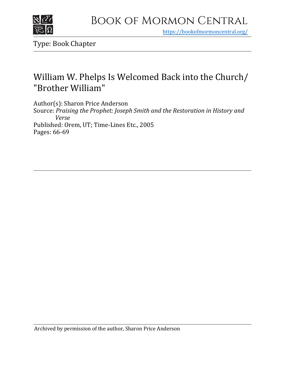

## Book of Mormon Central

https[://bookofmormoncentral.org/](https://bookofmormoncentral.org/)

Type: Book Chapter

## William W. Phelps Is Welcomed Back into the Church/ "Brother William"

Author(s): Sharon Price Anderson Source: *Praising the Prophet: Joseph Smith and the Restoration in History and Verse* Published: Orem, UT; Time-Lines Etc., 2005 Pages: 66-69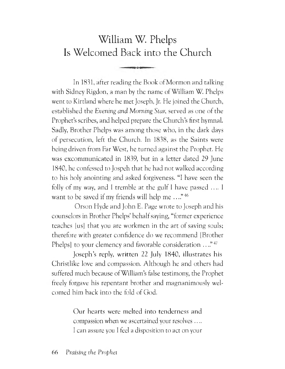## William W. Phelps Is Welcomed Back into the Church

In 1891, after reading the Book of Mormon and talking with Sidney Rigdon, a man by the name of William W. Phelps went to Kirtland where he met Joseph, Jr. He joined the Church, established the *Evening and Morning Star,* served as one of the Prophet's scribes, and helped prepare the Church's first hymnal. Sadly, Brother Phelps was among those who, in the dark days of persecution, left, the Church. In 1838, as the Saints were being driven from Far West, he turned against the Prophet. He was excommunicated in 1839, but in a letter dated 29 June 1840, he confessed to Jospeh that he had not walked according to his holy anointing and asked forgiveness. "I have seen the folly of my way, and <sup>I</sup> tremble at the gulf <sup>I</sup> have passed .... <sup>I</sup> want to be saved if my friends will help me ...." <sup>46</sup>

Orson Hyde and John E. Page wrote to Joseph and his counselors in Brother Phelps' behalfsaying, "former experience teaches [us] that you are workmen in the art of saving souls; therefore with greater confidence do we recommend [Brother Phelps] to your clemency and favorable consideration ...."<sup>47</sup>

Joseph'<sup>s</sup> reply, written 22 July 1840, illustrates his Christlike love and compassion. Although he and others had suffered much because of William's false testimony, the Prophet freely forgave his repentant brother and magnanimously welcomed him back into the fold of Cod.

> Our hearts were melted into tenderness and compassion when we ascertained your resolves .... <sup>I</sup> can assure you <sup>I</sup> feel a disposition to act on your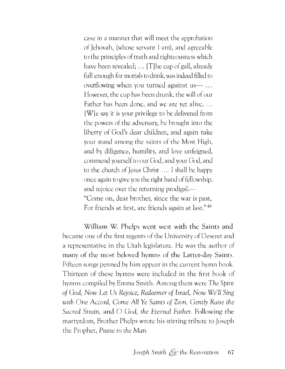case in <sup>a</sup> manner that will meet the approbation of Jehovah, (whose servant <sup>I</sup> am), and agreeable to the principles of truth and righteousness which have been revealed;  $\ldots$  [T] he cup of gall, already full enough for mortals to drink, was indeed filled to overflowing when you turned against us— ... However; the cup has been drunk, the will of our Father has been done, and we are yet alive, ... [W]e say it is your privilege to be delivered from the powers of the adversary, be brought into the liberty of God's dear children, and again take your stand among the saints of the Most High, and by diligence, humility, and love unfeigned, commend yourself to our God, and your God, and to the church of Jesus Christ .... <sup>I</sup> shall be happy once again to give you the right hand of fellowship, and rejoice over the returning prodigal.— "Come on, dear brother, since the war is past, For friends at first, are friends again at last." <sup>48</sup>

William W. Phelps went west with the Saints and became one of the first regents of the University of Deseret and a representative in the Utah legislature. He was the author of many of the most beloved hymns of the Latter-day Saints. Fifteen songs penned by him appear in the current hymn book. Thirteen of these hymns were included in the first book of hymns compiled by Emma Smith. Among them were *The Spirit of God, Now Let Us Rejoice, Redeemer of Israel, Now We'll Sing with One A^ccord, Come All Ye Saints of Zion, Gently Raise the Sacred Strain,* and O *God, the Eternal Father.* Following the martyrdom, Brother Phelps wrote his stirring tribute to Joseph the Prophet, *Praise to the Man.*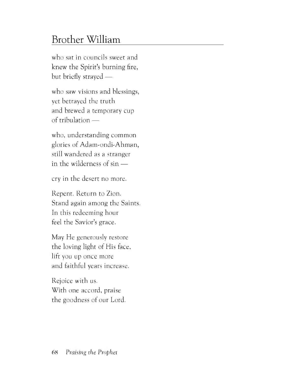## Brother William

who sat in councils sweet and knew the Spirit'<sup>s</sup> burning fire, but briefly strayed —

who saw visions and blessings, yet betrayed the truth and brewed a temporary cup of tribulation —

who, understanding common glories of Adam-ondi-Ahman, still wandered as a stranger in the wilderness of sin —

cry in the desert no more.

Repent. Return to Zion. Stand again among the Saints. In this redeeming hour feel the Savior'<sup>s</sup> grace.

May He generously restore the loving light of His face, lift you up once more and faithful years increase.

Rejoice with us. With one accord, praise the goodness of our Lord.